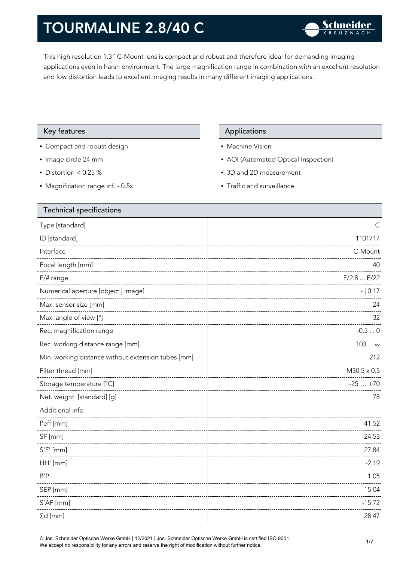This high resolution 1.3" C-Mount lens is compact and robust and therefore ideal for demanding imaging applications even in harsh environment. The large magnification range in combination with an excellent resolution and low distortion leads to excellent imaging results in many different imaging applications.

### Key features **Applications** Applications

- Compact and robust design
- Image circle 24 mm
- Distortion < 0.25 %
- Magnification range inf. 0.5x

- Machine Vision
- AOI (Automated Optical Inspection)
- 3D and 2D measurement
- Traffic and surveillance

| Type [standard]<br>С<br>ID [standard]<br>1101717<br>Interface<br>C-Mount<br>Focal length [mm]<br>40<br>F/2.8  F/22<br>F/# range<br>Numerical aperture [object   image]<br>$- 0.17$<br>Max. sensor size [mm]<br>24<br>Max. angle of view [°]<br>32<br>Rec. magnification range<br>Rec. working distance range [mm]<br>$103 \infty$<br>Min. working distance without extension tubes [mm]<br>Filter thread [mm]<br>$-25+70$<br>Storage temperature [°C]<br>Net. weight [standard] [g]<br>78<br>Additional info<br>f'eff [mm]<br>41.52<br>SF [mm]<br>$-24.53$<br>$S'F'$ [mm]<br>27.84<br>HH' [mm]<br>$-2.19$<br>$\beta'$ P<br>1.05<br>15.04<br>SEP [mm]<br>S'AP [mm]<br>$-15.72$<br>$\Sigma d$ [mm]<br>28.47 | Technical specifications |                    |
|-----------------------------------------------------------------------------------------------------------------------------------------------------------------------------------------------------------------------------------------------------------------------------------------------------------------------------------------------------------------------------------------------------------------------------------------------------------------------------------------------------------------------------------------------------------------------------------------------------------------------------------------------------------------------------------------------------------|--------------------------|--------------------|
|                                                                                                                                                                                                                                                                                                                                                                                                                                                                                                                                                                                                                                                                                                           |                          |                    |
|                                                                                                                                                                                                                                                                                                                                                                                                                                                                                                                                                                                                                                                                                                           |                          |                    |
|                                                                                                                                                                                                                                                                                                                                                                                                                                                                                                                                                                                                                                                                                                           |                          |                    |
|                                                                                                                                                                                                                                                                                                                                                                                                                                                                                                                                                                                                                                                                                                           |                          |                    |
|                                                                                                                                                                                                                                                                                                                                                                                                                                                                                                                                                                                                                                                                                                           |                          |                    |
|                                                                                                                                                                                                                                                                                                                                                                                                                                                                                                                                                                                                                                                                                                           |                          |                    |
|                                                                                                                                                                                                                                                                                                                                                                                                                                                                                                                                                                                                                                                                                                           |                          |                    |
|                                                                                                                                                                                                                                                                                                                                                                                                                                                                                                                                                                                                                                                                                                           |                          |                    |
|                                                                                                                                                                                                                                                                                                                                                                                                                                                                                                                                                                                                                                                                                                           |                          | $-0.50$            |
|                                                                                                                                                                                                                                                                                                                                                                                                                                                                                                                                                                                                                                                                                                           |                          |                    |
|                                                                                                                                                                                                                                                                                                                                                                                                                                                                                                                                                                                                                                                                                                           |                          | 212                |
|                                                                                                                                                                                                                                                                                                                                                                                                                                                                                                                                                                                                                                                                                                           |                          | $M30.5 \times 0.5$ |
|                                                                                                                                                                                                                                                                                                                                                                                                                                                                                                                                                                                                                                                                                                           |                          |                    |
|                                                                                                                                                                                                                                                                                                                                                                                                                                                                                                                                                                                                                                                                                                           |                          |                    |
|                                                                                                                                                                                                                                                                                                                                                                                                                                                                                                                                                                                                                                                                                                           |                          |                    |
|                                                                                                                                                                                                                                                                                                                                                                                                                                                                                                                                                                                                                                                                                                           |                          |                    |
|                                                                                                                                                                                                                                                                                                                                                                                                                                                                                                                                                                                                                                                                                                           |                          |                    |
|                                                                                                                                                                                                                                                                                                                                                                                                                                                                                                                                                                                                                                                                                                           |                          |                    |
|                                                                                                                                                                                                                                                                                                                                                                                                                                                                                                                                                                                                                                                                                                           |                          |                    |
|                                                                                                                                                                                                                                                                                                                                                                                                                                                                                                                                                                                                                                                                                                           |                          |                    |
|                                                                                                                                                                                                                                                                                                                                                                                                                                                                                                                                                                                                                                                                                                           |                          |                    |
|                                                                                                                                                                                                                                                                                                                                                                                                                                                                                                                                                                                                                                                                                                           |                          |                    |
|                                                                                                                                                                                                                                                                                                                                                                                                                                                                                                                                                                                                                                                                                                           |                          |                    |

© Jos. Schneider Optische Werke GmbH | 12/2021 | Jos. Schneider Optische Werke GmbH is certified ISO 9001. We accept no responsibility for any errors and reserve the right of modification without further notice.<br>We accept no responsibility for any errors and reserve the right of modification without further notice.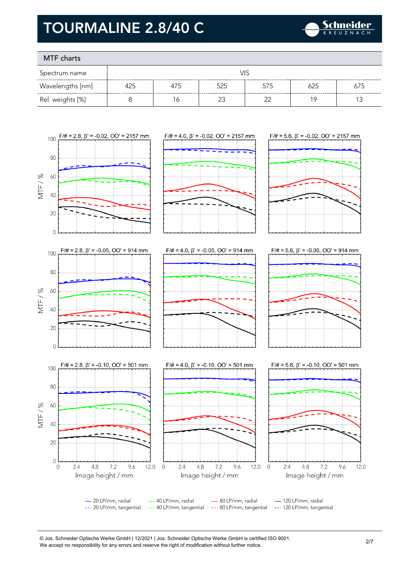

### MTF charts

| Spectrum name    |     |     | VIS |     |     |     |
|------------------|-----|-----|-----|-----|-----|-----|
| Wavelengths [nm] | 425 | 475 | 525 | 575 | 625 | 675 |
| Rel. weights [%] |     | 6   |     |     | 1 C |     |



<sup>©</sup> Jos. Schneider Optische Werke GmbH | 12/2021 | Jos. Schneider Optische Werke GmbH is certified ISO 9001. We accept no responsibility for any errors and reserve the right of modification without further notice.<br>We accept no responsibility for any errors and reserve the right of modification without further notice.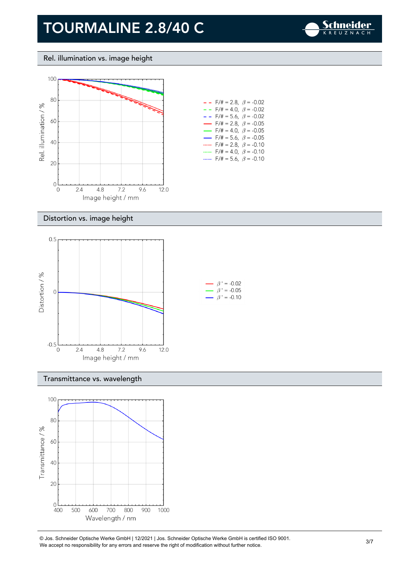

Rel. illumination vs. image height



| $- -$ F/# = 2.8, $\beta$ = -0.02         |  |
|------------------------------------------|--|
| $- -$ F/# = 4.0, $\beta$ = -0.02         |  |
| $- -$ F/# = 5.6, $\beta$ = -0.02         |  |
| $\rightarrow$ F/# = 2.8, $\beta$ = -0.05 |  |
| $\rightarrow$ F/# = 4.0, $\beta$ = -0.05 |  |
| $\rightarrow$ F/# = 5.6, $\beta$ = -0.05 |  |
| $F/\ddot{=} = 2.8$ , $\beta = -0.10$     |  |
| $F/\ddot{=} = 4.0, \ \beta = -0.10$      |  |
| F/# = 5.6, $\beta$ = -0.10               |  |

### Distortion vs. image height



Transmittance vs. wavelength



© Jos. Schneider Optische Werke GmbH | 12/2021 | Jos. Schneider Optische Werke GmbH is certified ISO 9001. We accept no responsibility for any errors and reserve the right of modification without further notice.<br>We accept no responsibility for any errors and reserve the right of modification without further notice.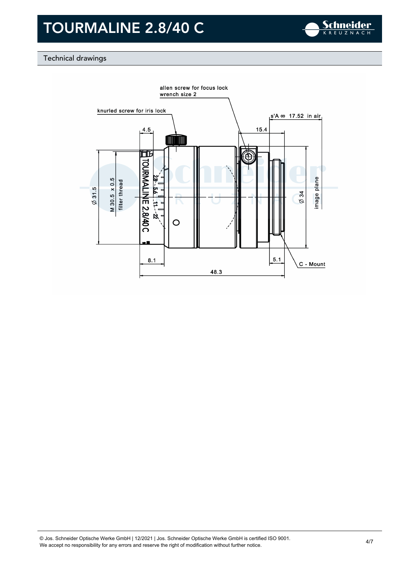

### Technical drawings

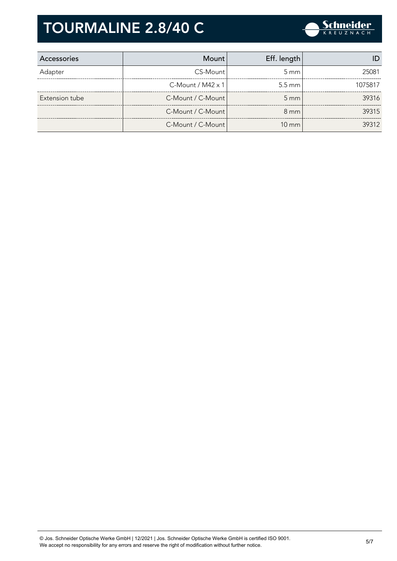

| Accessories    | Mount                    | Eff. length      |         |
|----------------|--------------------------|------------------|---------|
| Adapter        | CS-Mount                 | $5 \text{ mm}$   | 25081   |
|                | C-Mount / $M42 \times 1$ | $5.5 \text{ mm}$ | 1075817 |
| Extension tube | C-Mount / C-Mount        | $5 \, \text{mm}$ | 39316   |
|                | C-Mount / C-Mount        | $8 \text{ mm}$   | 39315   |
|                | C-Mount / C-Mount        | $10 \text{ mm}$  | 39312   |